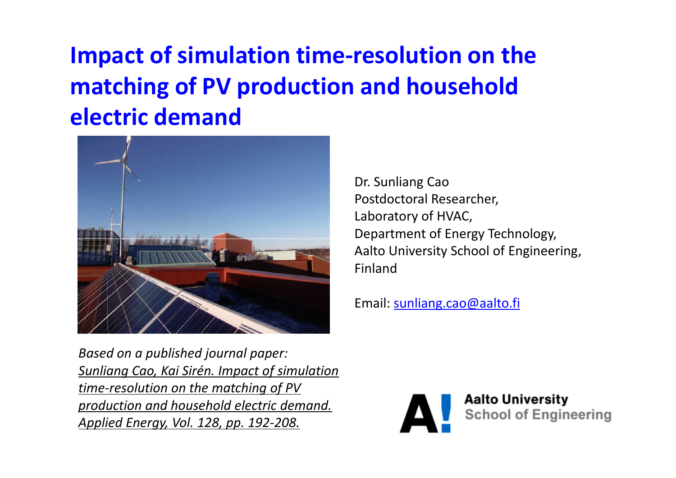## **Impact of simulation time-resolution on the matching of PV production and household electric demand**



Dr. Sunliang Cao Postdoctoral Researcher, Laboratory of HVAC,Department of Energy Technology,Aalto University School of Engineering,Finland

Email: sunliang.cao@aalto.fi

*Based on a published journal paper: Sunliang Cao, Kai Sirén. Impact of simulation time-resolution on the matching of PV production and household electric demand. Applied Energy, Vol. 128, pp. 192-208.*



**Aalto University School of Engineering**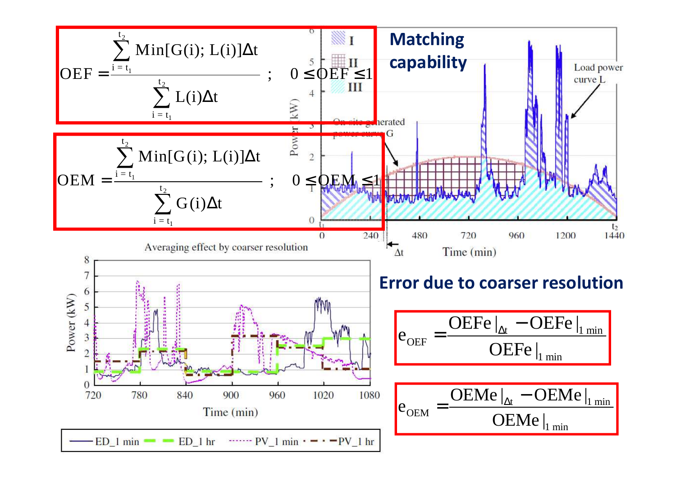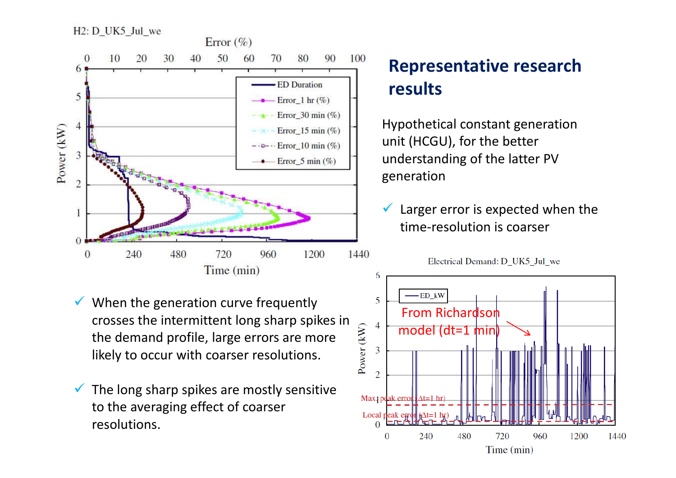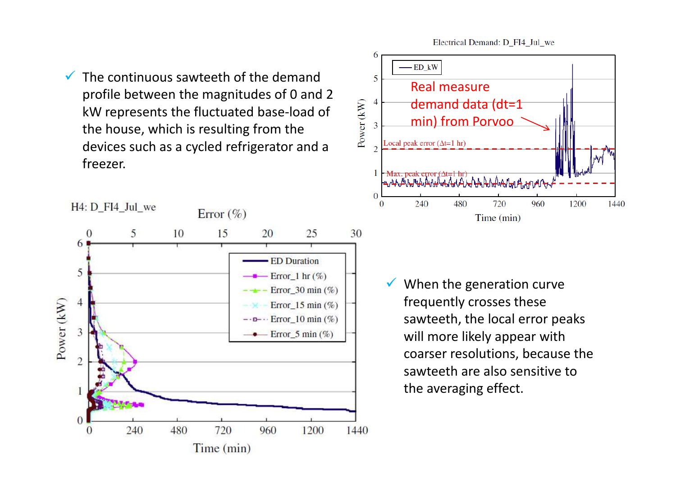$\checkmark$  The continuous sawteeth of the demand profile between the magnitudes of 0 and 2 kW represents the fluctuated base-load of the house, which is resulting from the devices such as a cycled refrigerator and a freezer.





 $\checkmark$  When the generation curve frequently crosses these sawteeth, the local error peaks will more likely appear with coarser resolutions, because the sawteeth are also sensitive to the averaging effect.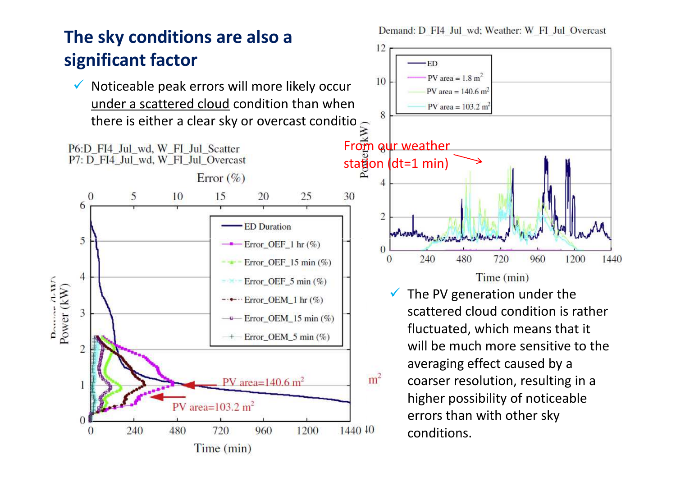